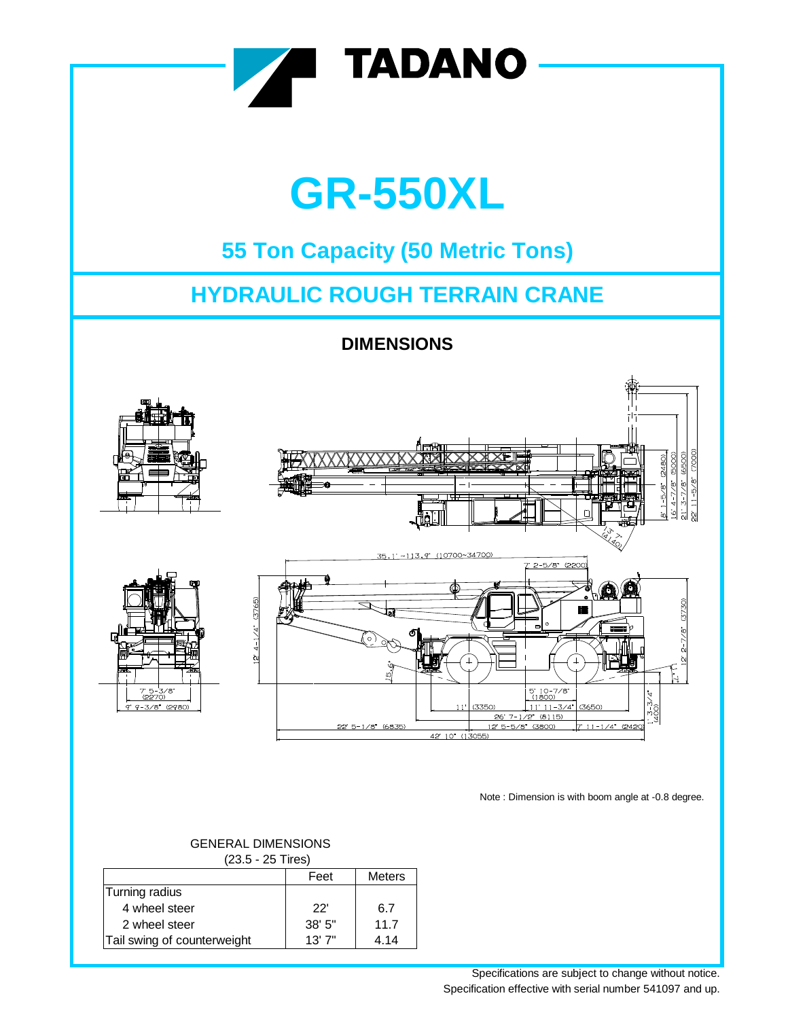

Note : Dimension is with boom angle at -0.8 degree.

## Feet Meters Turning radius 4 wheel steer 22' 6.7 2 wheel steer 11.7 Tail swing of counterweight | 13' 7" | 4.14 (23.5 - 25 Tires)

## GENERAL DIMENSIONS

Specifications are subject to change without notice. Specification effective with serial number 541097 and up.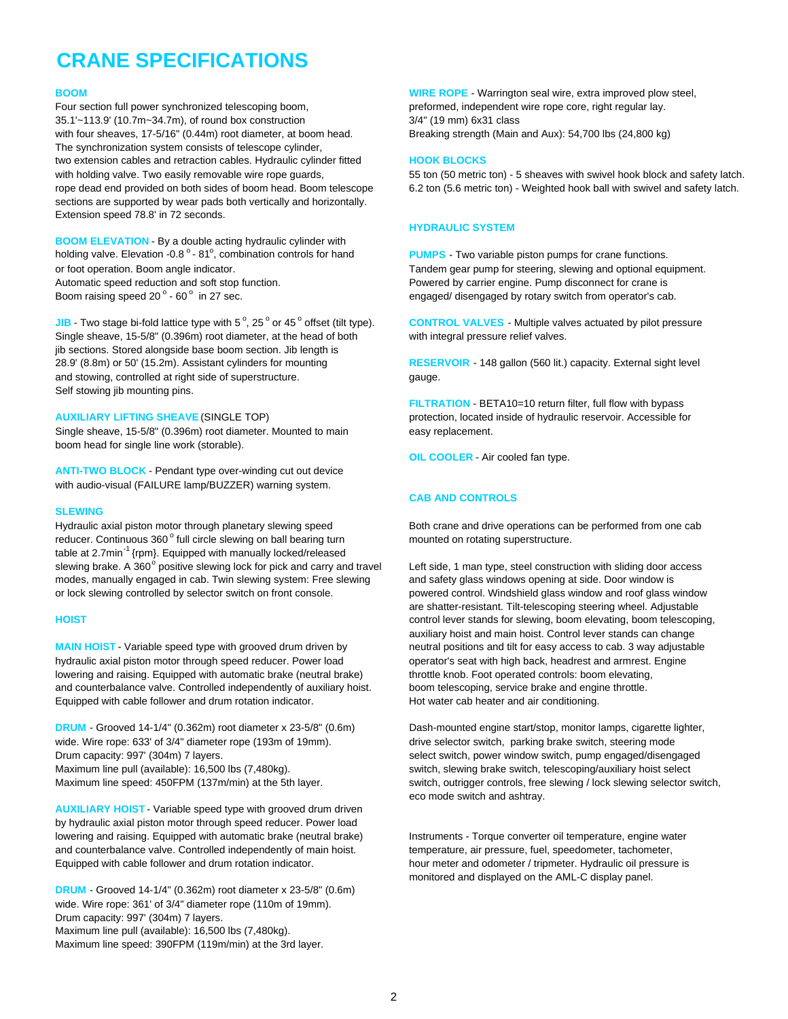# **CRANE SPECIFICATIONS**

Four section full power synchronized telescoping boom, example and preformed, independent wire rope core, right regular lay. 35.1'~113.9' (10.7m~34.7m), of round box construction 3/4" (19 mm) 6x31 class with four sheaves, 17-5/16" (0.44m) root diameter, at boom head. Breaking strength (Main and Aux): 54,700 lbs (24,800 kg) The synchronization system consists of telescope cylinder, two extension cables and retraction cables. Hydraulic cylinder fitted **HOOK BLOCKS** sections are supported by wear pads both vertically and horizontally. Extension speed 78.8' in 72 seconds.

**BOOM ELEVATION** - By a double acting hydraulic cylinder with holding valve. Elevation -0.8  $^{\circ}$  - 81 $^{\circ}$ , combination controls for hand Automatic speed reduction and soft stop function. Pure example and the Powered by carrier engine. Pump disconnect for crane is Boom raising speed 20° - 60°

**JIB** - Two stage bi-fold lattice type with 5 $^{\circ}$ , 25 $^{\circ}$  or 45 $^{\circ}$ Single sheave, 15-5/8" (0.396m) root diameter, at the head of both with integral pressure relief valves. jib sections. Stored alongside base boom section. Jib length is 28.9' (8.8m) or 50' (15.2m). Assistant cylinders for mounting **RESERVOIR** - 148 gallon (560 lit.) capacity. External sight level and stowing, controlled at right side of superstructure. gauge. Self stowing jib mounting pins.

Single sheave, 15-5/8" (0.396m) root diameter. Mounted to main easy replacement. boom head for single line work (storable).

**ANTI-TWO BLOCK** - Pendant type over-winding cut out device with audio-visual (FAILURE lamp/BUZZER) warning system.

### **SLEWING**

Hydraulic axial piston motor through planetary slewing speed Both crane and drive operations can be performed from one cab reducer. Continuous 360° full circle slewing on ball bearing turn mounted on rotating superstructure. table at 2.7min<sup>-1</sup> {rpm}. Equipped with manually locked/released slewing brake. A 360° positive slewing lock for pick and carry and travel modes, manually engaged in cab. Twin slewing system: Free slewing and safety glass windows opening at side. Door window is or lock slewing controlled by selector switch on front console. powered control. Windshield glass window and roof glass window

**MAIN HOIST** - Variable speed type with grooved drum driven by neutral positions and tilt for easy access to cab. 3 way adjustable hydraulic axial piston motor through speed reducer. Power load operator's seat with high back, headrest and armrest. Engine lowering and raising. Equipped with automatic brake (neutral brake) throttle knob. Foot operated controls: boom elevating, and counterbalance valve. Controlled independently of auxiliary hoist. boom telescoping, service brake and engine throttle. Equipped with cable follower and drum rotation indicator. Hot water cab heater and air conditioning.

**DRUM** - Grooved 14-1/4" (0.362m) root diameter x 23-5/8" (0.6m) Dash-mounted engine start/stop, monitor lamps, cigarette lighter, wide. Wire rope: 633' of 3/4" diameter rope (193m of 19mm). drive selector switch, parking brake switch, steering mode Drum capacity: 997' (304m) 7 layers. select switch, power window switch, pump engaged/disengaged Maximum line pull (available): 16,500 lbs (7,480kg). switch, slewing brake switch, telescoping/auxiliary hoist select

**AUXILIARY HOIST** - Variable speed type with grooved drum driven by hydraulic axial piston motor through speed reducer. Power load lowering and raising. Equipped with automatic brake (neutral brake) linstruments - Torque converter oil temperature, engine water and counterbalance valve. Controlled independently of main hoist. themperature, air pressure, fuel, speedometer, tachometer, Equipped with cable follower and drum rotation indicator. https://www.meter and odometer / tripmeter. Hydraulic oil pressure is

**DRUM** - Grooved 14-1/4" (0.362m) root diameter x 23-5/8" (0.6m) wide. Wire rope: 361' of 3/4" diameter rope (110m of 19mm). Drum capacity: 997' (304m) 7 layers. Maximum line pull (available): 16,500 lbs (7,480kg). Maximum line speed: 390FPM (119m/min) at the 3rd layer.

**BOOM** BOOM **WIRE ROPE** - Warrington seal wire, extra improved plow steel,

with holding valve. Two easily removable wire rope guards, 55 ton (50 metric ton) - 5 sheaves with swivel hook block and safety latch. rope dead end provided on both sides of boom head. Boom telescope 6.2 ton (5.6 metric ton) - Weighted hook ball with swivel and safety latch.

### **HYDRAULIC SYSTEM**

PUMPS - Two variable piston pumps for crane functions. or foot operation. Boom angle indicator. Tandem gear pump for steering, slewing and optional equipment. engaged/ disengaged by rotary switch from operator's cab.

**CONTROL VALVES** - Multiple valves actuated by pilot pressure

**FILTRATION** - BETA10=10 return filter, full flow with bypass **AUXILIARY LIFTING SHEAVE** (SINGLE TOP) protection, located inside of hydraulic reservoir. Accessible for

**OIL COOLER** - Air cooled fan type.

### **CAB AND CONTROLS**

Left side, 1 man type, steel construction with sliding door access are shatter-resistant. Tilt-telescoping steering wheel. Adjustable **HOIST** control lever stands for slewing, boom elevating, boom telescoping, auxiliary hoist and main hoist. Control lever stands can change

Maximum line speed: 450FPM (137m/min) at the 5th layer. switch, outrigger controls, free slewing / lock slewing selector switch, eco mode switch and ashtray.

monitored and displayed on the AML-C display panel.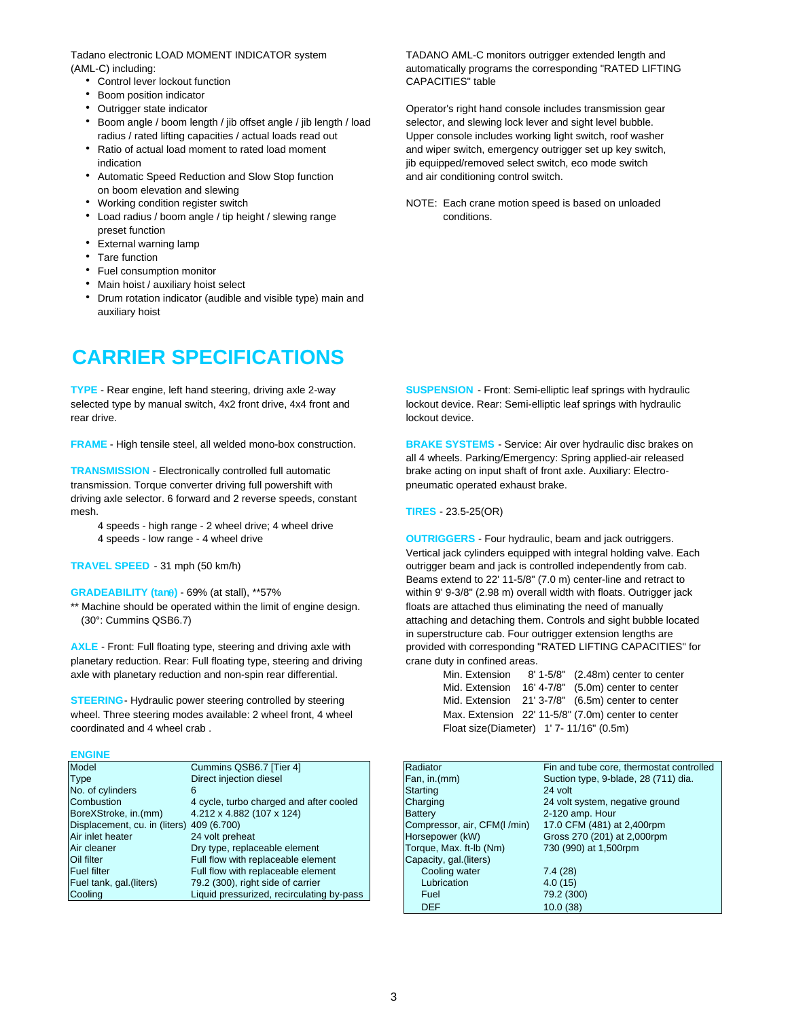Tadano electronic LOAD MOMENT INDICATOR system TADANO AML-C monitors outrigger extended length and

- Control lever lockout function CAPACITIES" table
- Boom position indicator
- 
- Boom angle / boom length / jib offset angle / jib length / load selector, and slewing lock lever and sight level bubble. radius / rated lifting capacities / actual loads read out Upper console includes working light switch, roof washer
- 
- Automatic Speed Reduction and Slow Stop function and air conditioning control switch. on boom elevation and slewing
- 
- Load radius / boom angle / tip height / slewing range conditions. preset function
- External warning lamp
- Tare function
- Fuel consumption monitor
- Main hoist / auxiliary hoist select
- Drum rotation indicator (audible and visible type) main and auxiliary hoist

# **CARRIER SPECIFICATIONS**

selected type by manual switch, 4x2 front drive, 4x4 front and lockout device. Rear: Semi-elliptic leaf springs with hydraulic rear drive. **lockout device.** In the set of the set of the set of the lock out device.

**FRAME** - High tensile steel, all welded mono-box construction. **BRAKE SYSTEMS** - Service: Air over hydraulic disc brakes on

**TRANSMISSION** - Electronically controlled full automatic brake acting on input shaft of front axle. Auxiliary: Electrotransmission. Torque converter driving full powershift with pneumatic operated exhaust brake. driving axle selector. 6 forward and 2 reverse speeds, constant mesh. **TIRES** - 23.5-25(OR)

- 4 speeds high range 2 wheel drive; 4 wheel drive
- 

\*\* Machine should be operated within the limit of engine design. Floats are attached thus eliminating the need of manually

planetary reduction. Rear: Full floating type, steering and driving crane duty in confined areas. axle with planetary reduction and non-spin rear differential.

**STEERING**- Hydraulic power steering controlled by steering wheel. Three steering modes available: 2 wheel front, 4 wheel coordinated and 4 wheel crab.

### **ENGINE**

| Model                                     | Cummins QSB6.7 [Tier 4]                   | Radiator                    | Fin and tube core, thermostat contr  |
|-------------------------------------------|-------------------------------------------|-----------------------------|--------------------------------------|
| <b>Type</b>                               | Direct injection diesel                   | Fan, in.(mm)                | Suction type, 9-blade, 28 (711) dia. |
| No. of cylinders                          |                                           | Starting                    | 24 volt                              |
| Combustion                                | 4 cycle, turbo charged and after cooled   | Charging                    | 24 volt system, negative ground      |
| BoreXStroke, in.(mm)                      | 4.212 x 4.882 (107 x 124)                 | <b>Battery</b>              | 2-120 amp. Hour                      |
| Displacement, cu. in (liters) 409 (6.700) |                                           | Compressor, air, CFM(I/min) | 17.0 CFM (481) at 2,400rpm           |
| Air inlet heater                          | 24 volt preheat                           | Horsepower (kW)             | Gross 270 (201) at 2,000rpm          |
| Air cleaner                               | Dry type, replaceable element             | Torque, Max. ft-lb (Nm)     | 730 (990) at 1,500rpm                |
| Oil filter                                | Full flow with replaceable element        | Capacity, gal. (liters)     |                                      |
| <b>Fuel filter</b>                        | Full flow with replaceable element        | Cooling water               | 7.4(28)                              |
| Fuel tank, gal. (liters)                  | 79.2 (300), right side of carrier         | Lubrication                 | 4.0(15)                              |
| Cooling                                   | Liquid pressurized, recirculating by-pass | Fuel                        | 79.2 (300)                           |

(AML-C) including: automatically programs the corresponding "RATED LIFTING

 Outrigger state indicator Operator's right hand console includes transmission gear • Ratio of actual load moment to rated load moment and wiper switch, emergency outrigger set up key switch, indication indication interved select switch, eco mode switch

• Working condition register switch NOTE: Each crane motion speed is based on unloaded

**TYPE** - Rear engine, left hand steering, driving axle 2-way **SUSPENSION** - Front: Semi-elliptic leaf springs with hydraulic

all 4 wheels. Parking/Emergency: Spring applied-air released

4 speeds - low range - 4 wheel drive **OUTRIGGERS** - Four hydraulic, beam and jack outriggers. Vertical jack cylinders equipped with integral holding valve. Each **TRAVEL SPEED** - 31 mph (50 km/h) *Dependently from cab.* **b** outrigger beam and jack is controlled independently from cab. Beams extend to 22' 11-5/8" (7.0 m) center-line and retract to **GRADEABILITY (tan)** - 69% (at stall), \*\*57% within 9' 9-3/8" (2.98 m) overall width with floats. Outrigger jack (30°: Cummins QSB6.7) **attaching and detaching them. Controls and sight bubble located** in superstructure cab. Four outrigger extension lengths are AXLE - Front: Full floating type, steering and driving axle with provided with corresponding "RATED LIFTING CAPACITIES" for

| Min. Extension                           | 8' 1-5/8" (2.48m) center to center                 |
|------------------------------------------|----------------------------------------------------|
| Mid. Extension                           | 16' 4-7/8" (5.0m) center to center                 |
|                                          | Mid. Extension 21' 3-7/8" (6.5m) center to center  |
|                                          | Max. Extension 22' 11-5/8" (7.0m) center to center |
| Float size(Diameter) 1' 7- 11/16" (0.5m) |                                                    |

| Model                                     | Cummins QSB6.7 [Tier 4]                   | Radiator                    | Fin and tube core, thermostat controlled |
|-------------------------------------------|-------------------------------------------|-----------------------------|------------------------------------------|
| <b>Type</b>                               | Direct injection diesel                   | Fan, in.(mm)                | Suction type, 9-blade, 28 (711) dia.     |
| No. of cylinders                          | 6.                                        | Starting                    | 24 volt                                  |
| Combustion                                | 4 cycle, turbo charged and after cooled   | Charging                    | 24 volt system, negative ground          |
| BoreXStroke, in.(mm)                      | 4.212 x 4.882 (107 x 124)                 | <b>Battery</b>              | 2-120 amp. Hour                          |
| Displacement, cu. in (liters) 409 (6.700) |                                           | Compressor, air, CFM(I/min) | 17.0 CFM (481) at 2,400rpm               |
| Air inlet heater                          | 24 volt preheat                           | Horsepower (kW)             | Gross 270 (201) at 2,000rpm              |
| Air cleaner                               | Dry type, replaceable element             | Torque, Max. ft-lb (Nm)     | 730 (990) at 1,500rpm                    |
| Oil filter                                | Full flow with replaceable element        | Capacity, gal. (liters)     |                                          |
| Fuel filter                               | Full flow with replaceable element        | Cooling water               | 7.4(28)                                  |
| Fuel tank, gal.(liters)                   | 79.2 (300), right side of carrier         | Lubrication                 | 4.0(15)                                  |
| Cooling                                   | Liquid pressurized, recirculating by-pass | Fuel                        | 79.2 (300)                               |
|                                           |                                           | <b>DEF</b>                  | 10.0(38)                                 |
|                                           |                                           |                             |                                          |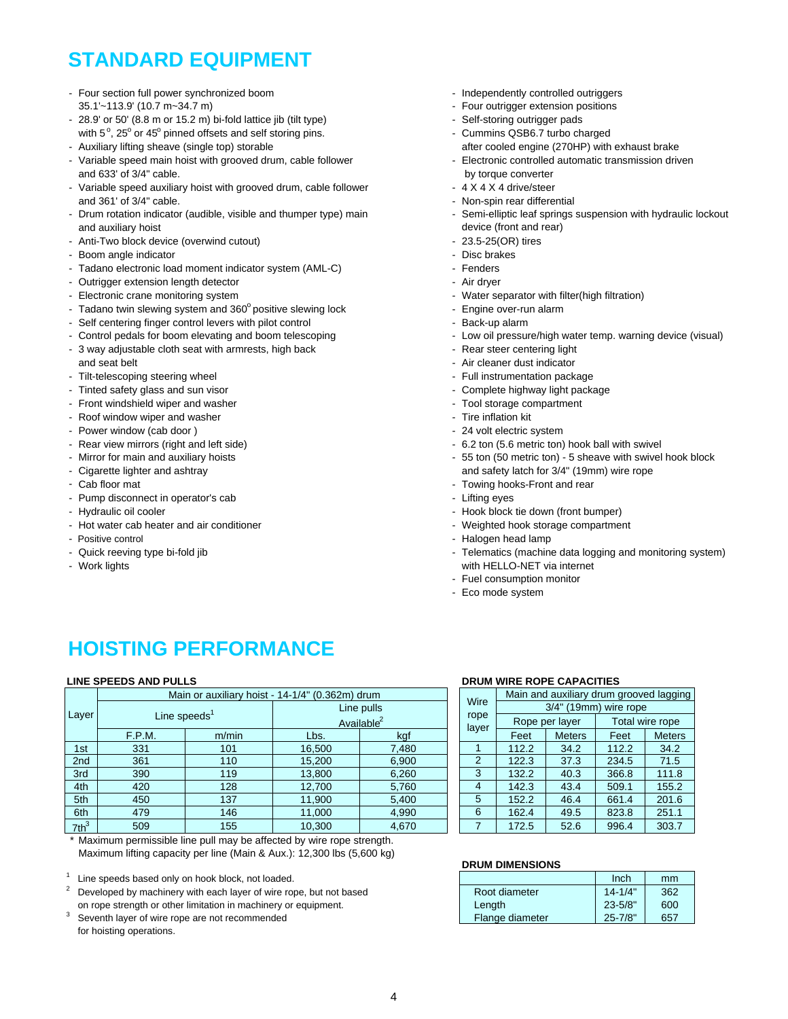# **STANDARD EQUIPMENT**

- Four section full power synchronized boom Independently controlled outriggers 35.1'~113.9' (10.7 m~34.7 m) - Four outrigger extension positions
- 28.9' or 50' (8.8 m or 15.2 m) bi-fold lattice jib (tilt type) Self-storing outrigger pads with 5<sup>°</sup>, 25<sup>°</sup> or 45<sup>°</sup> pinned offsets and self storing pins. The state of the Cummins QSB6.7 turbo charged
- 
- Variable speed main hoist with grooved drum, cable follower - Flectronic controlled automatic transmission driven and 633' of 3/4" cable. by the state of the state of the state of the state of the state of the state of the state of the state of the state of the state of the state of the state of the state of the state of the state of
- Variable speed auxiliary hoist with grooved drum, cable follower 4 X 4 X 4 X 4 drive/steer and 361' of 3/4" cable.  $\blacksquare$
- Drum rotation indicator (audible, visible and thumper type) main Semi-elliptic leaf springs suspension with hydraulic lockout and auxiliary hoist device (front and rear) and auxiliary hoist device (front and rear)
- Anti-Two block device (overwind cutout)  $-$  23.5-25(OR) tires
- Boom angle indicator Disc brakes
- Tadano electronic load moment indicator system (AML-C) Fenders
- Outrigger extension length detector Air dryer Air dryer
- 
- Tadano twin slewing system and 360° positive slewing lock Figine over-run alarm
- Self centering finger control levers with pilot control Sack-up alarm Back-up alarm
- 
- 3 way adjustable cloth seat with armrests, high back Rear steer centering light and seat belt **and seat belt** - Air cleaner dust indicator
- Tilt-telescoping steering wheel  $\blacksquare$  Full instrumentation package
- Tinted safety glass and sun visor Complete highway light package
- Front windshield wiper and washer  $\blacksquare$
- Roof window wiper and washer  $\blacksquare$
- Power window (cab door )  $\sim$  24 volt electric system
- 
- 
- 
- 
- Pump disconnect in operator's cab contract the state of the Lifting eyes and the Lifting eyes
- 
- Hot water cab heater and air conditioner Weighted hook storage compartment
- 
- 
- 
- 
- 
- 
- 
- Auxiliary lifting sheave (single top) storable after and the after cooled engine (270HP) with exhaust brake
	-
	-
	-
	-
	-
	-
	-
	-
- Electronic crane monitoring system Water separator with filter(high filtration)
	-
	-
- Control pedals for boom elevating and boom telescoping Low oil pressure/high water temp. warning device (visual)
	-
	-
	-
	-
	-
	-
	-
- Rear view mirrors (right and left side) 6.2 ton (5.6 metric ton) hook ball with swivel
- Mirror for main and auxiliary hoists 55 ton (50 metric ton) 5 sheave with swivel hook block - Cigarette lighter and ashtray and safety latch for 3/4" (19mm) wire rope
- Cab floor mat  $\sim$  Towing hooks-Front and rear
	-
- Hydraulic oil cooler Hook block tie down (front bumper) Hook block tie down (front bumper)
	-
- Positive control **Figure 2018** Halogen head lamp
- Quick reeving type bi-fold jib  $\blacksquare$  Telematics (machine data logging and monitoring system) - Work lights with HELLO-NET via internet
	- Fuel consumption monitor
	- Eco mode system

# **HOISTING PERFORMANCE**

### **LINE SPEEDS AND PULLS**

|                 |                 | Main or auxiliary hoist - 14-1/4" (0.362m) drum |        |                        |  |               | Main and auxiliary drum grooved laggin |                |                 |        |  |  |
|-----------------|-----------------|-------------------------------------------------|--------|------------------------|--|---------------|----------------------------------------|----------------|-----------------|--------|--|--|
|                 |                 |                                                 |        | Line pulls             |  | Wire          | 3/4" (19mm) wire rope                  |                |                 |        |  |  |
| Layer           | Line speeds $1$ |                                                 |        | Available <sup>2</sup> |  | rope<br>layer |                                        | Rope per layer | Total wire rope |        |  |  |
|                 | F.P.M.          | m/min                                           | Lbs.   | kgf                    |  |               | Feet                                   | <b>Meters</b>  | Feet            | Meters |  |  |
| 1st             | 331             | 101                                             | 16.500 | 7,480                  |  |               | 112.2                                  | 34.2           | 112.2           | 34.2   |  |  |
| 2 <sub>nd</sub> | 361             | 110                                             | 15,200 | 6,900                  |  | 2             | 122.3                                  | 37.3           | 234.5           | 71.5   |  |  |
| 3rd             | 390             | 119                                             | 13,800 | 6,260                  |  | 3             | 132.2                                  | 40.3           | 366.8           | 111.8  |  |  |
| 4th             | 420             | 128                                             | 12,700 | 5,760                  |  | 4             | 142.3                                  | 43.4           | 509.1           | 155.2  |  |  |
| 5th             | 450             | 137                                             | 11,900 | 5,400                  |  | 5             | 152.2                                  | 46.4           | 661.4           | 201.6  |  |  |
| 6th             | 479             | 146                                             | 11,000 | 4,990                  |  | 6             | 162.4                                  | 49.5           | 823.8           | 251.1  |  |  |
| $7th^3$         | 509             | 155                                             | 10,300 | 4,670                  |  |               | 172.5                                  | 52.6           | 996.4           | 303.7  |  |  |

Maximum permissible line pull may be affected by wire rope strength. Maximum lifting capacity per line (Main & Aux.): 12,300 lbs (5,600 kg)

Line speeds based only on hook block, not loaded.

Developed by machinery with each layer of wire rope, but not based on rope strength or other limitation in machinery or equipment.

Seventh layer of wire rope are not recommended for hoisting operations.

### **DRUM WIRE ROPE CAPACITIES**

|       |               | Main and auxiliary drum grooved lagging |                       |                 |               |  |  |  |  |
|-------|---------------|-----------------------------------------|-----------------------|-----------------|---------------|--|--|--|--|
|       | Wire          |                                         | 3/4" (19mm) wire rope |                 |               |  |  |  |  |
|       | rope<br>layer |                                         | Rope per layer        | Total wire rope |               |  |  |  |  |
| kgf   |               | Feet                                    | <b>Meters</b>         | Feet            | <b>Meters</b> |  |  |  |  |
| 7,480 |               | 112.2                                   | 34.2                  | 112.2           | 34.2          |  |  |  |  |
| 6.900 | $\mathcal{P}$ | 122.3                                   | 37.3                  | 234.5           | 71.5          |  |  |  |  |
| 6.260 | 3             | 132.2                                   | 40.3                  | 366.8           | 111.8         |  |  |  |  |
| 5,760 | 4             | 142.3                                   | 43.4                  | 509.1           | 155.2         |  |  |  |  |
| 5,400 | 5             | 152.2                                   | 46.4                  | 661.4           | 201.6         |  |  |  |  |
| 4.990 | 6             | 162.4                                   | 49.5                  | 823.8           | 251.1         |  |  |  |  |
| 4.670 |               | 172.5                                   | 52.6                  | 996.4           | 303.7         |  |  |  |  |

### **DRUM DIMENSIONS**

|                 | Inch        | mm  |
|-----------------|-------------|-----|
| Root diameter   | $14 - 1/4"$ | 362 |
| Length          | $23 - 5/8"$ | 600 |
| Flange diameter | $25 - 7/8"$ | 657 |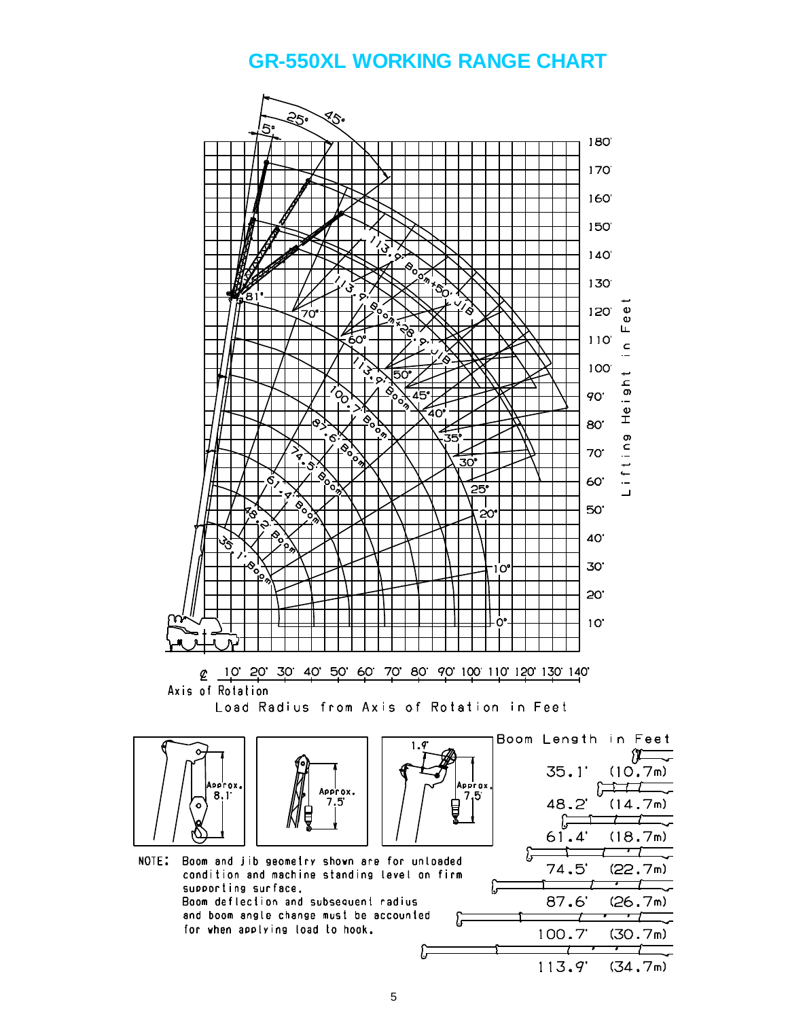## **GR-550XL WORKING RANGE CHART**



5

 $113.9'$ 

 $(34.7m)$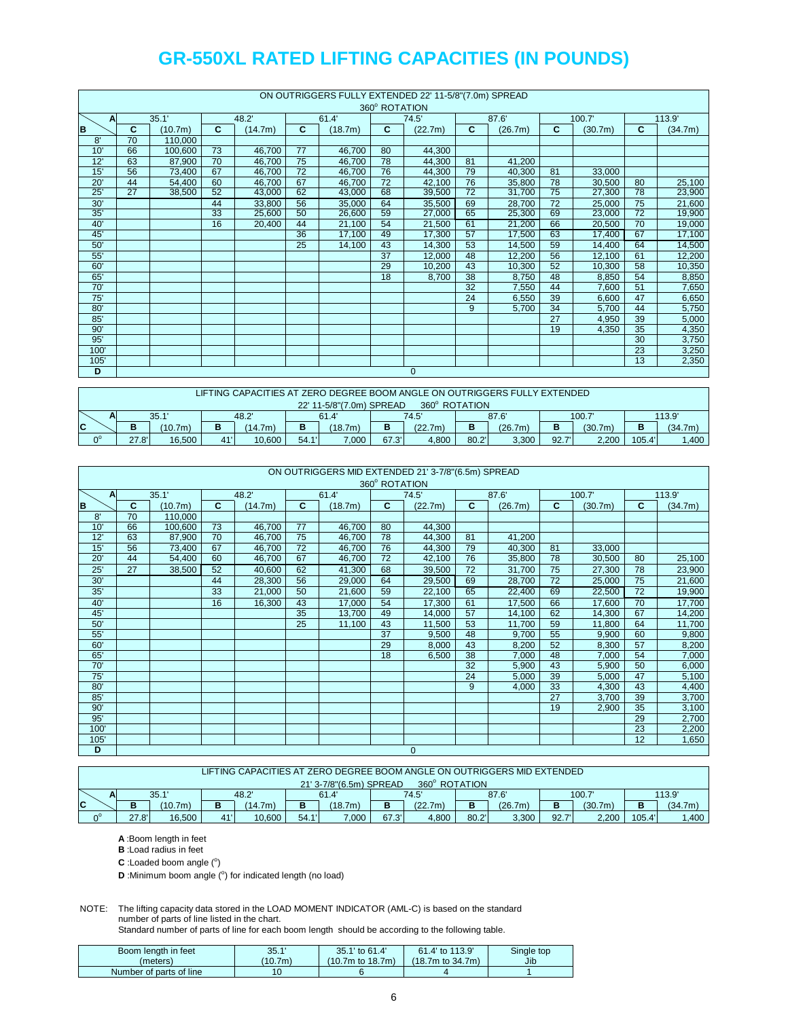|      | ON OUTRIGGERS FULLY EXTENDED 22' 11-5/8"(7.0m) SPREAD |         |    |         |                 |         |                 |              |                 |         |                 |         |    |         |
|------|-------------------------------------------------------|---------|----|---------|-----------------|---------|-----------------|--------------|-----------------|---------|-----------------|---------|----|---------|
|      |                                                       |         |    |         |                 |         | 360° ROTATION   |              |                 |         |                 |         |    |         |
| A    |                                                       | 35.1'   |    | 48.2'   |                 | 61.4    |                 | 74.5'        |                 | 87.6'   |                 | 100.7'  |    | 113.9'  |
| B    | C                                                     | (10.7m) | C  | (14.7m) | C               | (18.7m) | C               | (22.7m)      | C               | (26.7m) | C               | (30.7m) | C  | (34.7m) |
| 8'   | 70                                                    | 110.000 |    |         |                 |         |                 |              |                 |         |                 |         |    |         |
| 10'  | 66                                                    | 100,600 | 73 | 46,700  | $\overline{77}$ | 46,700  | 80              | 44,300       |                 |         |                 |         |    |         |
| 12'  | 63                                                    | 87,900  | 70 | 46,700  | $\overline{75}$ | 46,700  | 78              | 44,300       | 81              | 41,200  |                 |         |    |         |
| 15'  | 56                                                    | 73,400  | 67 | 46,700  | 72              | 46,700  | 76              | 44,300       | 79              | 40,300  | 81              | 33,000  |    |         |
| 20'  | 44                                                    | 54.400  | 60 | 46.700  | 67              | 46.700  | 72              | 42.100       | 76              | 35.800  | 78              | 30.500  | 80 | 25,100  |
| 25'  | 27                                                    | 38,500  | 52 | 43,000  | 62              | 43,000  | 68              | 39,500       | 72              | 31,700  | 75              | 27,300  | 78 | 23,900  |
| 30'  |                                                       |         | 44 | 33,800  | 56              | 35,000  | 64              | 35,500       | 69              | 28,700  | $\overline{72}$ | 25,000  | 75 | 21,600  |
| 35'  |                                                       |         | 33 | 25,600  | 50              | 26,600  | 59              | 27,000       | 65              | 25,300  | 69              | 23,000  | 72 | 19,900  |
| 40'  |                                                       |         | 16 | 20,400  | 44              | 21,100  | 54              | 21,500       | 61              | 21,200  | 66              | 20,500  | 70 | 19,000  |
| 45'  |                                                       |         |    |         | 36              | 17,100  | 49              | 17,300       | 57              | 17,500  | 63              | 17,400  | 67 | 17,100  |
| 50'  |                                                       |         |    |         | 25              | 14,100  | 43              | 14,300       | 53              | 14,500  | 59              | 14,400  | 64 | 14,500  |
| 55'  |                                                       |         |    |         |                 |         | $\overline{37}$ | 12,000       | 48              | 12,200  | 56              | 12,100  | 61 | 12,200  |
| 60'  |                                                       |         |    |         |                 |         | 29              | 10,200       | 43              | 10,300  | 52              | 10,300  | 58 | 10,350  |
| 65'  |                                                       |         |    |         |                 |         | 18              | 8,700        | 38              | 8,750   | 48              | 8,850   | 54 | 8,850   |
| 70'  |                                                       |         |    |         |                 |         |                 |              | $\overline{32}$ | 7,550   | 44              | 7,600   | 51 | 7,650   |
| 75'  |                                                       |         |    |         |                 |         |                 |              | 24              | 6,550   | 39              | 6,600   | 47 | 6,650   |
| 80'  |                                                       |         |    |         |                 |         |                 |              | 9               | 5,700   | 34              | 5,700   | 44 | 5,750   |
| 85'  |                                                       |         |    |         |                 |         |                 |              |                 |         | 27              | 4,950   | 39 | 5,000   |
| 90'  |                                                       |         |    |         |                 |         |                 |              |                 |         | 19              | 4,350   | 35 | 4,350   |
| 95'  |                                                       |         |    |         |                 |         |                 |              |                 |         |                 |         | 30 | 3,750   |
| 100' |                                                       |         |    |         |                 |         |                 |              |                 |         |                 |         | 23 | 3,250   |
| 105' |                                                       |         |    |         |                 |         |                 |              |                 |         |                 |         | 13 | 2,350   |
| D    |                                                       |         |    |         |                 |         |                 | $\mathbf{0}$ |                 |         |                 |         |    |         |

|                                           | LIFTING CAPACITIES AT ZERO DEGREE BOOM ANGLE ON OUTRIGGERS FULLY EXTENDED |         |     |         |       |         |       |         |       |         |       |         |        |         |
|-------------------------------------------|---------------------------------------------------------------------------|---------|-----|---------|-------|---------|-------|---------|-------|---------|-------|---------|--------|---------|
| 22' 11-5/8"(7.0m) SPREAD<br>360° ROTATION |                                                                           |         |     |         |       |         |       |         |       |         |       |         |        |         |
| A                                         | 48.2'<br>35.1<br>61.4                                                     |         |     | 74.5'   |       | 87.6'   |       | 100.7   |       | 113.9'  |       |         |        |         |
| IC                                        | в<br>D                                                                    | (10.7m) |     | (14.7m) | в     | (18.7m) | в     | (22.7m) | в     | (26.7m) | в     | (30.7m) | в      | (34.7m) |
| ∩°                                        | 27.8'                                                                     | 16.500  | 41' | 10.600  | 54.1' | 7.000   | 67.3' | 4.800   | 80.2' | 3.300   | 92.7' | 2.200   | 105.4' | ,400    |

|      | ON OUTRIGGERS MID EXTENDED 21' 3-7/8"(6.5m) SPREAD |         |    |         |                 |         |                 |              |    |         |                 |         |    |         |
|------|----------------------------------------------------|---------|----|---------|-----------------|---------|-----------------|--------------|----|---------|-----------------|---------|----|---------|
|      |                                                    |         |    |         |                 |         | 360° ROTATION   |              |    |         |                 |         |    |         |
| A    |                                                    | 35.1'   |    | 48.2'   |                 | 61.4    | 74.5'           |              |    | 87.6    |                 | 100.7   |    | 113.9'  |
| B    | C                                                  | (10.7m) | C  | (14.7m) | C               | (18.7m) | C               | (22.7m)      | C  | (26.7m) | $\mathbf{C}$    | (30.7m) | C  | (34.7m) |
| 8'   | 70                                                 | 110,000 |    |         |                 |         |                 |              |    |         |                 |         |    |         |
| 10'  | 66                                                 | 100,600 | 73 | 46,700  | 77              | 46,700  | 80              | 44,300       |    |         |                 |         |    |         |
| 12'  | 63                                                 | 87,900  | 70 | 46,700  | 75              | 46,700  | 78              | 44,300       | 81 | 41,200  |                 |         |    |         |
| 15'  | 56                                                 | 73,400  | 67 | 46,700  | $\overline{72}$ | 46,700  | 76              | 44,300       | 79 | 40,300  | 81              | 33,000  |    |         |
| 20'  | 44                                                 | 54,400  | 60 | 46,700  | 67              | 46,700  | 72              | 42,100       | 76 | 35,800  | 78              | 30,500  | 80 | 25,100  |
| 25'  | 27                                                 | 38,500  | 52 | 40,600  | 62              | 41,300  | 68              | 39,500       | 72 | 31,700  | 75              | 27,300  | 78 | 23,900  |
| 30'  |                                                    |         | 44 | 28,300  | 56              | 29,000  | 64              | 29,500       | 69 | 28,700  | $\overline{72}$ | 25,000  | 75 | 21,600  |
| 35'  |                                                    |         | 33 | 21,000  | 50              | 21,600  | 59              | 22,100       | 65 | 22,400  | 69              | 22,500  | 72 | 19,900  |
| 40'  |                                                    |         | 16 | 16,300  | 43              | 17,000  | 54              | 17,300       | 61 | 17,500  | 66              | 17,600  | 70 | 17,700  |
| 45'  |                                                    |         |    |         | 35              | 13,700  | 49              | 14,000       | 57 | 14,100  | 62              | 14,300  | 67 | 14,200  |
| 50'  |                                                    |         |    |         | 25              | 11,100  | 43              | 11,500       | 53 | 11,700  | 59              | 11,800  | 64 | 11,700  |
| 55'  |                                                    |         |    |         |                 |         | $\overline{37}$ | 9,500        | 48 | 9,700   | 55              | 9,900   | 60 | 9,800   |
| 60'  |                                                    |         |    |         |                 |         | 29              | 8,000        | 43 | 8,200   | 52              | 8,300   | 57 | 8,200   |
| 65'  |                                                    |         |    |         |                 |         | 18              | 6,500        | 38 | 7,000   | 48              | 7,000   | 54 | 7,000   |
| 70'  |                                                    |         |    |         |                 |         |                 |              | 32 | 5,900   | 43              | 5,900   | 50 | 6,000   |
| 75'  |                                                    |         |    |         |                 |         |                 |              | 24 | 5,000   | 39              | 5,000   | 47 | 5,100   |
| 80'  |                                                    |         |    |         |                 |         |                 |              | 9  | 4,000   | 33              | 4,300   | 43 | 4,400   |
| 85'  |                                                    |         |    |         |                 |         |                 |              |    |         | $\overline{27}$ | 3,700   | 39 | 3,700   |
| 90'  |                                                    |         |    |         |                 |         |                 |              |    |         | 19              | 2,900   | 35 | 3,100   |
| 95'  |                                                    |         |    |         |                 |         |                 |              |    |         |                 |         | 29 | 2,700   |
| 100' |                                                    |         |    |         |                 |         |                 |              |    |         |                 |         | 23 | 2,200   |
| 105' |                                                    |         |    |         |                 |         |                 |              |    |         |                 |         | 12 | 1,650   |
| D    |                                                    |         |    |         |                 |         |                 | $\mathbf{0}$ |    |         |                 |         |    |         |

|                                          | LIFTING CAPACITIES AT ZERO DEGREE BOOM ANGLE ON OUTRIGGERS MID EXTENDED |         |    |         |      |         |       |                                              |       |       |       |        |         |      |
|------------------------------------------|-------------------------------------------------------------------------|---------|----|---------|------|---------|-------|----------------------------------------------|-------|-------|-------|--------|---------|------|
| 360° ROTATION<br>21' 3-7/8"(6.5m) SPREAD |                                                                         |         |    |         |      |         |       |                                              |       |       |       |        |         |      |
| n                                        | 48.2<br>35.1                                                            |         |    | 61.4'   |      | 74.5'   |       | 87.6'                                        |       | 100.7 |       | 113.9' |         |      |
| C                                        | в                                                                       | (10.7m) | в  | (14.7m) | B    | (18.7m) | в     | (22.7m)<br>(26.7m)<br>(30.7m)<br>в<br>в<br>в |       |       |       |        | (34.7m) |      |
| $\Omega^0$                               | 27.8'                                                                   | 16.500  | 41 | 10.600  | 54.1 | 000.7   | 67.3' | 4.800                                        | 80.2' | 3,300 | 92.7' | 2.200  | 105.4   | ,400 |

**A** :Boom length in feet

**B** :Load radius in feet

 $C$  : Loaded boom angle  $(°)$ 

**D** :Minimum boom angle (°) for indicated length (no load)

NOTE: The lifting capacity data stored in the LOAD MOMENT INDICATOR (AML-C) is based on the standard number of parts of line listed in the chart.

Standard number of parts of line for each boom length should be according to the following table.

| Boom length in feet     | 35.1'   | 35.1' to 61.4'        | 61.4' to 113.9'        | Single top |
|-------------------------|---------|-----------------------|------------------------|------------|
| (meters)                | (10.7m) | $(10.7m)$ to $18.7m)$ | $(18.7m)$ to $34.7m$ ) | Jib        |
| Number of parts of line | 10      |                       |                        |            |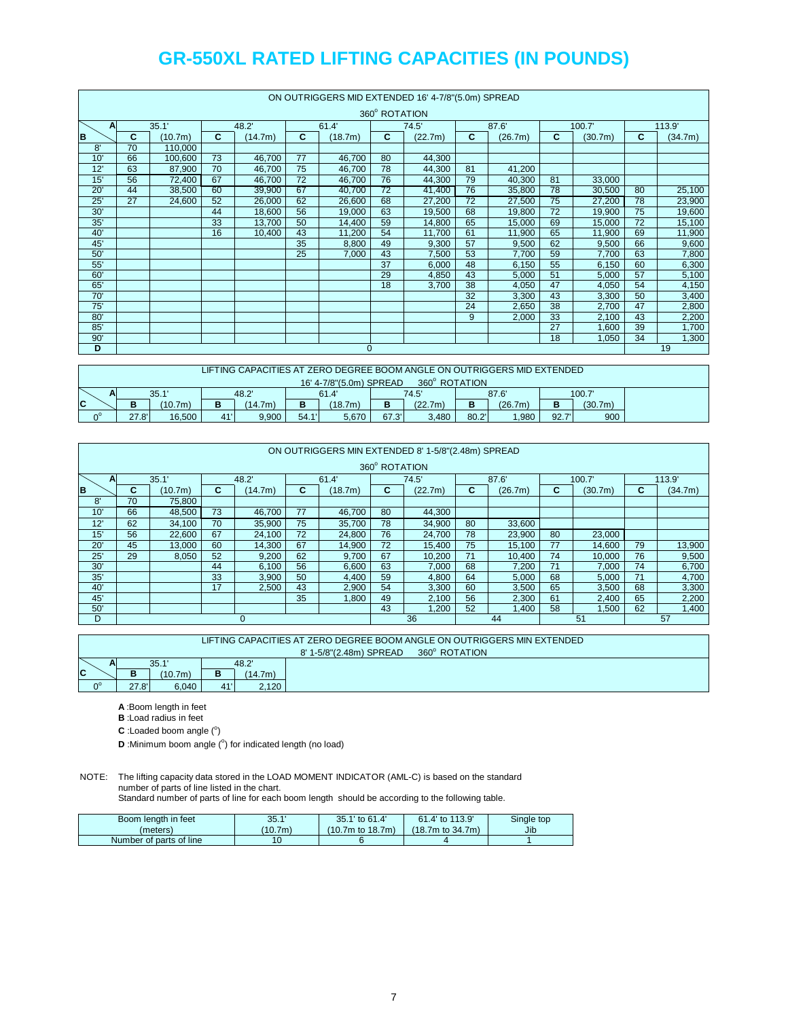| ON OUTRIGGERS MID EXTENDED 16' 4-7/8"(5.0m) SPREAD |    |         |    |         |       |              |               |         |    |         |    |         |    |         |  |
|----------------------------------------------------|----|---------|----|---------|-------|--------------|---------------|---------|----|---------|----|---------|----|---------|--|
|                                                    |    |         |    |         |       |              | 360° ROTATION |         |    |         |    |         |    |         |  |
| A                                                  |    | 35.1'   |    | 48.2'   | 61.4' |              |               | 74.5'   |    | 87.6    |    | 100.7'  |    | 113.9'  |  |
| B                                                  | С  | (10.7m) | C  | (14.7m) | C     | (18.7m)      | C             | (22.7m) | C  | (26.7m) | C  | (30.7m) | C  | (34.7m) |  |
| 8'                                                 | 70 | 110,000 |    |         |       |              |               |         |    |         |    |         |    |         |  |
| 10'                                                | 66 | 100.600 | 73 | 46.700  | 77    | 46.700       | 80            | 44,300  |    |         |    |         |    |         |  |
| 12'                                                | 63 | 87,900  | 70 | 46,700  | 75    | 46,700       | 78            | 44,300  | 81 | 41,200  |    |         |    |         |  |
| 15'                                                | 56 | 72,400  | 67 | 46,700  | 72    | 46,700       | 76            | 44,300  | 79 | 40,300  | 81 | 33,000  |    |         |  |
| 20'                                                | 44 | 38,500  | 60 | 39,900  | 67    | 40,700       | 72            | 41,400  | 76 | 35,800  | 78 | 30,500  | 80 | 25,100  |  |
| 25'                                                | 27 | 24.600  | 52 | 26,000  | 62    | 26,600       | 68            | 27,200  | 72 | 27,500  | 75 | 27,200  | 78 | 23,900  |  |
| 30'                                                |    |         | 44 | 18,600  | 56    | 19,000       | 63            | 19,500  | 68 | 19,800  | 72 | 19,900  | 75 | 19,600  |  |
| 35'                                                |    |         | 33 | 13,700  | 50    | 14,400       | 59            | 14.800  | 65 | 15.000  | 69 | 15,000  | 72 | 15,100  |  |
| 40'                                                |    |         | 16 | 10,400  | 43    | 11,200       | 54            | 11,700  | 61 | 11.900  | 65 | 11.900  | 69 | 11,900  |  |
| 45'                                                |    |         |    |         | 35    | 8,800        | 49            | 9,300   | 57 | 9,500   | 62 | 9,500   | 66 | 9,600   |  |
| 50'                                                |    |         |    |         | 25    | 7,000        | 43            | 7,500   | 53 | 7,700   | 59 | 7,700   | 63 | 7,800   |  |
| 55'                                                |    |         |    |         |       |              | 37            | 6,000   | 48 | 6,150   | 55 | 6,150   | 60 | 6,300   |  |
| 60'                                                |    |         |    |         |       |              | 29            | 4.850   | 43 | 5,000   | 51 | 5,000   | 57 | 5,100   |  |
| 65                                                 |    |         |    |         |       |              | 18            | 3,700   | 38 | 4,050   | 47 | 4,050   | 54 | 4,150   |  |
| 70'                                                |    |         |    |         |       |              |               |         | 32 | 3,300   | 43 | 3,300   | 50 | 3,400   |  |
| 75'                                                |    |         |    |         |       |              |               |         | 24 | 2,650   | 38 | 2,700   | 47 | 2,800   |  |
| 80'                                                |    |         |    |         |       |              |               |         | 9  | 2,000   | 33 | 2,100   | 43 | 2,200   |  |
| 85'                                                |    |         |    |         |       |              |               |         |    |         | 27 | 1,600   | 39 | 1,700   |  |
| 90'                                                |    |         |    |         |       |              |               |         |    |         | 18 | 1,050   | 34 | 1,300   |  |
| $\overline{D}$                                     |    |         |    |         |       | $\mathbf{0}$ |               |         |    |         |    |         |    | 19      |  |

|         |                                          | LIFTING CAPACITIES AT ZERO DEGREE BOOM ANGLE ON OUTRIGGERS MID EXTENDED. |    |       |       |         |       |         |       |         |       |                      |  |
|---------|------------------------------------------|--------------------------------------------------------------------------|----|-------|-------|---------|-------|---------|-------|---------|-------|----------------------|--|
|         | 360° ROTATION<br>16' 4-7/8"(5.0m) SPREAD |                                                                          |    |       |       |         |       |         |       |         |       |                      |  |
|         | 48.2'<br>35.1'<br>AI                     |                                                                          |    |       |       | 61.4    |       | 74.5'   |       | 87.6'   |       | 100.7                |  |
| C       | (10.7m)<br>в<br>(14.7m)<br>о             |                                                                          |    |       |       | (18.7m) | D     | (22.7m) |       | (26.7m) |       | (30.7 <sub>m</sub> ) |  |
| $n^{0}$ | 27.8'                                    | 16,500                                                                   | 41 | 9,900 | 54.1' | 5,670   | 67.3' | 3.480   | 80.2' | .980    | 92.7' | 900                  |  |

|     | ON OUTRIGGERS MIN EXTENDED 8' 1-5/8"(2.48m) SPREAD |                          |    |        |    |         |    |         |    |         |    |         |    |         |
|-----|----------------------------------------------------|--------------------------|----|--------|----|---------|----|---------|----|---------|----|---------|----|---------|
|     | 360° ROTATION                                      |                          |    |        |    |         |    |         |    |         |    |         |    |         |
|     | 35.1'<br>48.2<br>61.4<br>A                         |                          |    |        |    |         |    | 74.5'   |    | 87.6    |    | 100.7'  |    | 113.9'  |
| B   | C.                                                 | C.<br>(10.7m)<br>(14.7m) |    |        | C. | (18.7m) | C  | (22.7m) | C  | (26.7m) | C  | (30.7m) | C  | (34.7m) |
| 8'  | 70                                                 | 75,800                   |    |        |    |         |    |         |    |         |    |         |    |         |
| 10' | 66                                                 | 48,500                   | 73 | 46,700 | 77 | 46,700  | 80 | 44,300  |    |         |    |         |    |         |
| 12' | 62                                                 | 34,100                   | 70 | 35,900 | 75 | 35,700  | 78 | 34,900  | 80 | 33,600  |    |         |    |         |
| 15' | 56                                                 | 22.600                   | 67 | 24.100 | 72 | 24,800  | 76 | 24.700  | 78 | 23.900  | 80 | 23,000  |    |         |
| 20' | 45                                                 | 13,000                   | 60 | 14,300 | 67 | 14,900  | 72 | 15,400  | 75 | 15,100  | 77 | 14.600  | 79 | 13,900  |
| 25' | 29                                                 | 8.050                    | 52 | 9.200  | 62 | 9.700   | 67 | 10.200  | 71 | 10.400  | 74 | 10.000  | 76 | 9,500   |
| 30' |                                                    |                          | 44 | 6,100  | 56 | 6,600   | 63 | 7,000   | 68 | 7.200   | 71 | 7.000   | 74 | 6,700   |
| 35' |                                                    |                          | 33 | 3,900  | 50 | 4,400   | 59 | 4,800   | 64 | 5,000   | 68 | 5,000   | 71 | 4,700   |
| 40' |                                                    |                          | 17 | 2.500  | 43 | 2,900   | 54 | 3,300   | 60 | 3,500   | 65 | 3,500   | 68 | 3,300   |
| 45' | 35<br>1.800                                        |                          |    |        |    |         | 49 | 2.100   | 56 | 2.300   | 61 | 2.400   | 65 | 2,200   |
| 50' |                                                    |                          |    |        |    |         | 43 | ,200    | 52 | 1.400   | 58 | 1,500   | 62 | 1,400   |
| D   |                                                    |                          |    |        |    |         |    | 36      |    | 44      |    | 51      |    | 57      |

| LIFTING CAPACITIES AT ZERO DEGREE BOOM ANGLE ON OUTRIGGERS MIN EXTENDED |       |         |     |         |  |  |  |  |  |  |  |  |
|-------------------------------------------------------------------------|-------|---------|-----|---------|--|--|--|--|--|--|--|--|
| 360° ROTATION<br>8' 1-5/8"(2.48m) SPREAD                                |       |         |     |         |  |  |  |  |  |  |  |  |
| -                                                                       |       | 35.1'   |     | 48.2'   |  |  |  |  |  |  |  |  |
| $\mathbf c$                                                             | в     | (10.7m) | в   | (14.7m) |  |  |  |  |  |  |  |  |
| $0^{\circ}$                                                             | 27.8' | 6.040   | 41' | 2.120   |  |  |  |  |  |  |  |  |

**A** :Boom length in feet

**B** :Load radius in feet

 $C$  : Loaded boom angle  $(°)$ 

**D** :Minimum boom angle (°) for indicated length (no load)

NOTE: The lifting capacity data stored in the LOAD MOMENT INDICATOR (AML-C) is based on the standard number of parts of line listed in the chart.

Standard number of parts of line for each boom length should be according to the following table.

| Boom length in feet     | 35.1'   | 35.1' to 61.4'        | 61.4' to 113.9'  | Single top |
|-------------------------|---------|-----------------------|------------------|------------|
| (meters)                | (10.7m) | $(10.7m)$ to $18.7m)$ | (18.7m to 34.7m) | Jib        |
| Number of parts of line | 10      |                       |                  |            |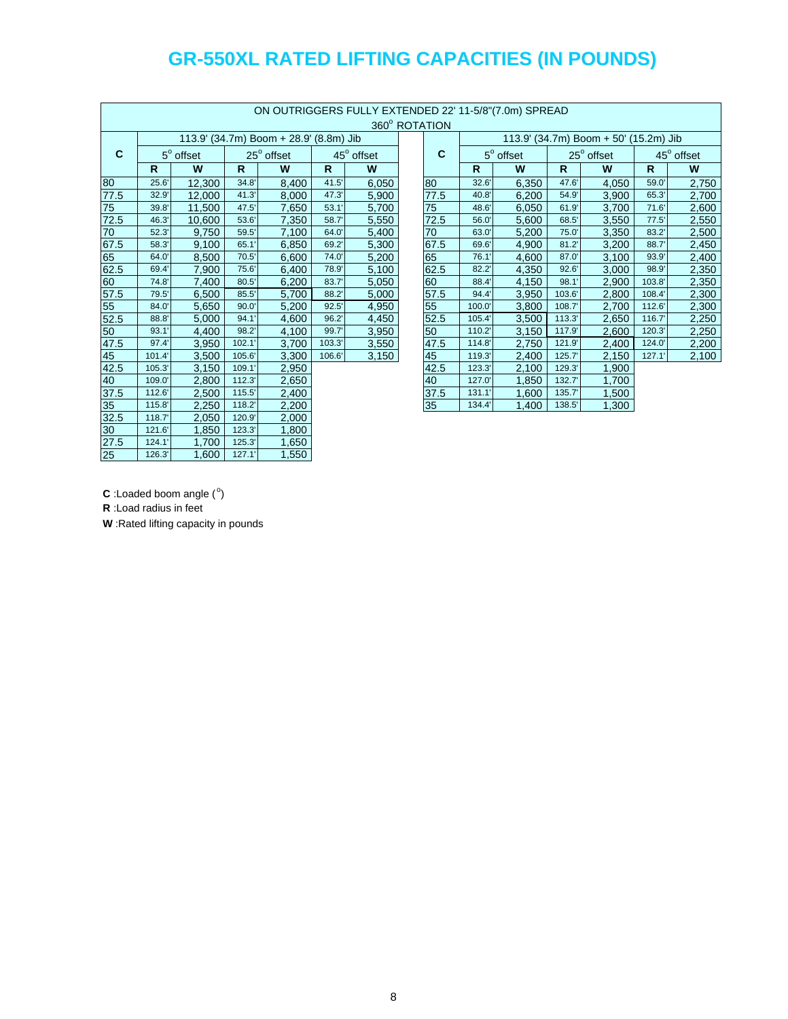|               | ON OUTRIGGERS FULLY EXTENDED 22' 11-5/8"(7.0m) SPREAD |                  |        |                                        |              |            |  |               |              |                  |              |                                       |              |            |
|---------------|-------------------------------------------------------|------------------|--------|----------------------------------------|--------------|------------|--|---------------|--------------|------------------|--------------|---------------------------------------|--------------|------------|
|               |                                                       |                  |        |                                        |              |            |  | 360° ROTATION |              |                  |              |                                       |              |            |
|               |                                                       |                  |        | 113.9' (34.7m) Boom + 28.9' (8.8m) Jib |              |            |  |               |              |                  |              | 113.9' (34.7m) Boom + 50' (15.2m) Jib |              |            |
| C             |                                                       | $5^\circ$ offset |        | $25^{\circ}$ offset                    |              | 45° offset |  | $\mathbf c$   |              | $5^\circ$ offset |              | $25^{\circ}$ offset                   |              | 45° offset |
|               | $\mathsf{R}$                                          | W                | R.     | W                                      | $\mathsf{R}$ | W          |  |               | $\mathsf{R}$ | W                | $\mathsf{R}$ | W                                     | $\mathbb{R}$ | W          |
| 80            | 25.6'                                                 | 12,300           | 34.8'  | 8,400                                  | 41.5'        | 6,050      |  | 80            | 32.6'        | 6,350            | 47.6         | 4,050                                 | 59.0'        | 2,750      |
| 77.5          | 32.9'                                                 | 12,000           | 41.3'  | 8,000                                  | 47.3'        | 5,900      |  | 77.5          | 40.8         | 6,200            | 54.9         | 3,900                                 | 65.3'        | 2,700      |
| 75            | 39.8'                                                 | 11,500           | 47.5'  | 7,650                                  | 53.1'        | 5,700      |  | 75            | 48.6         | 6.050            | 61.9         | 3,700                                 | 71.6'        | 2,600      |
| 72.5          | 46.3'                                                 | 10,600           | 53.6'  | 7,350                                  | 58.7         | 5,550      |  | 72.5          | 56.0         | 5,600            | 68.5'        | 3,550                                 | 77.5'        | 2,550      |
| 70            | 52.3'                                                 | 9,750            | 59.5'  | 7.100                                  | 64.0'        | 5,400      |  | 70            | 63.0'        | 5,200            | 75.0'        | 3,350                                 | 83.2'        | 2,500      |
| 67.5          | 58.3'                                                 | 9,100            | 65.1'  | 6,850                                  | 69.2'        | 5,300      |  | 67.5          | 69.6         | 4,900            | 81.2'        | 3,200                                 | 88.7         | 2,450      |
| 65            | 64.0                                                  | 8,500            | 70.5'  | 6,600                                  | 74.0'        | 5,200      |  | 65            | 76.1'        | 4,600            | 87.0         | 3,100                                 | 93.9'        | 2,400      |
| 62.5          | 69.4                                                  | 7,900            | 75.6'  | 6.400                                  | 78.9'        | 5,100      |  | 62.5          | 82.2'        | 4,350            | 92.6'        | 3,000                                 | 98.9         | 2,350      |
| 60            | 74.8'                                                 | 7,400            | 80.5'  | 6.200                                  | 83.7'        | 5,050      |  | 60            | 88.4         | 4,150            | 98.1'        | 2,900                                 | 103.8'       | 2,350      |
| 57.5          | 79.5'                                                 | 6,500            | 85.5'  | 5,700                                  | 88.2'        | 5,000      |  | 57.5          | 94.4         | 3,950            | 103.6'       | 2,800                                 | 108.4        | 2,300      |
| 55            | 84.0                                                  | 5,650            | 90.0'  | 5.200                                  | 92.5'        | 4,950      |  | 55            | 100.0        | 3.800            | 108.7        | 2,700                                 | 112.6'       | 2,300      |
| 52.5          | 88.8'                                                 | 5,000            | 94.1'  | 4,600                                  | 96.2'        | 4,450      |  | 52.5          | 105.4        | 3,500            | 113.3'       | 2,650                                 | 116.7'       | 2,250      |
| 50            | 93.1'                                                 | 4,400            | 98.2'  | 4,100                                  | 99.7'        | 3,950      |  | 50            | 110.2        | 3,150            | 117.9        | 2,600                                 | 120.3'       | 2,250      |
| 47.5          | 97.4                                                  | 3,950            | 102.1  | 3.700                                  | 103.3'       | 3,550      |  | 47.5          | 114.8        | 2,750            | 121.9        | 2,400                                 | 124.0        | 2,200      |
| 45            | 101.4                                                 | 3,500            | 105.6  | 3,300                                  | 106.6'       | 3,150      |  | 45            | 119.3        | 2,400            | 125.7        | 2,150                                 | 127.1'       | 2,100      |
| 42.5          | 105.3                                                 | 3,150            | 109.1  | 2,950                                  |              |            |  | 42.5          | 123.3        | 2,100            | 129.3'       | 1,900                                 |              |            |
| 40            | 109.0                                                 | 2,800            | 112.3' | 2,650                                  |              |            |  | 40            | 127.0        | 1,850            | 132.7        | 1,700                                 |              |            |
| 37.5          | 112.6                                                 | 2,500            | 115.5' | 2,400                                  |              |            |  | 37.5          | 131.1'       | 1,600            | 135.7        | 1,500                                 |              |            |
| 35            | 115.8'                                                | 2,250            | 118.2  | 2,200                                  |              |            |  | 35            | 134.4        | 1,400            | 138.5'       | 1,300                                 |              |            |
| 32.5          | 118.7                                                 | 2,050            | 120.9' | 2,000                                  |              |            |  |               |              |                  |              |                                       |              |            |
| $\frac{1}{2}$ | 121.6                                                 | 1,850            | 123.3' | 1,800                                  |              |            |  |               |              |                  |              |                                       |              |            |
| 27.5          | 124.1                                                 | 1,700            | 125.3' | 1,650                                  |              |            |  |               |              |                  |              |                                       |              |            |
| 25            | 126.3'                                                | 1,600            | 127.1' | 1,550                                  |              |            |  |               |              |                  |              |                                       |              |            |

 $C$  : Loaded boom angle  $(°)$ 

**R** :Load radius in feet

**W** :Rated lifting capacity in pounds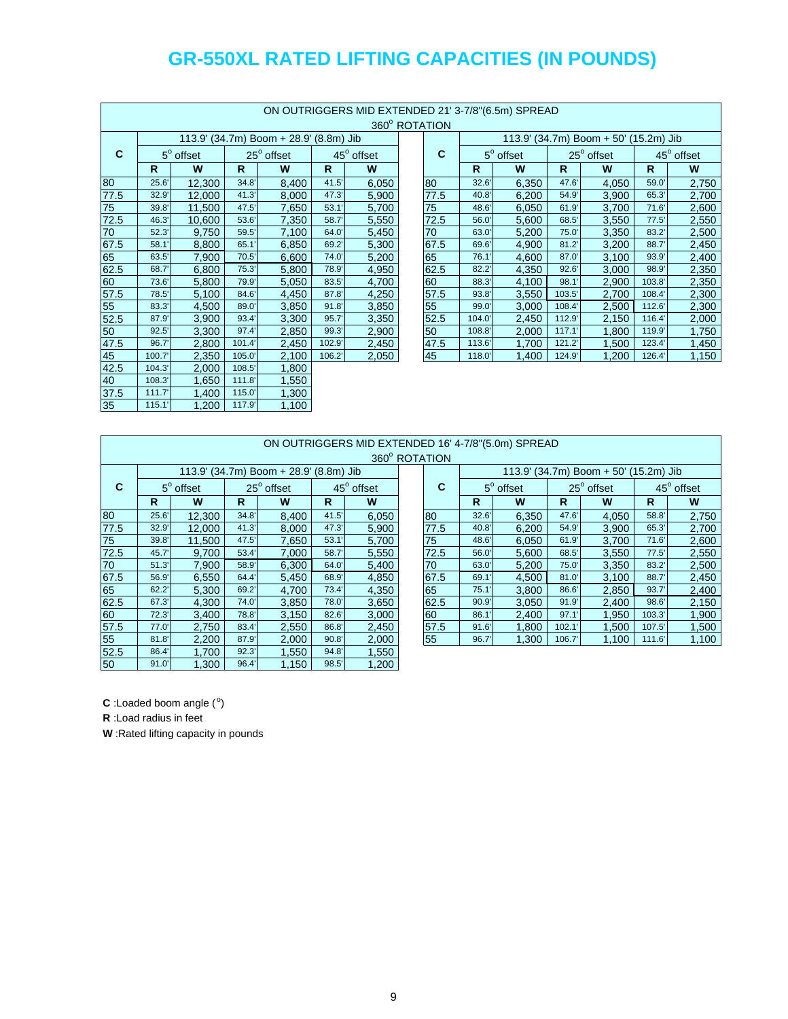| ON OUTRIGGERS MID EXTENDED 21' 3-7/8"(6.5m) SPREAD |        |                  |        |                                        |       |            |  |               |        |                  |        |                                       |        |            |
|----------------------------------------------------|--------|------------------|--------|----------------------------------------|-------|------------|--|---------------|--------|------------------|--------|---------------------------------------|--------|------------|
|                                                    |        |                  |        |                                        |       |            |  | 360° ROTATION |        |                  |        |                                       |        |            |
|                                                    |        |                  |        | 113.9' (34.7m) Boom + 28.9' (8.8m) Jib |       |            |  |               |        |                  |        | 113.9' (34.7m) Boom + 50' (15.2m) Jib |        |            |
| C                                                  |        | $5^\circ$ offset |        | 25° offset                             |       | 45° offset |  | C             |        | $5^\circ$ offset |        | $25^{\circ}$ offset                   |        | 45° offset |
|                                                    | R      | W                | R      | W                                      | R.    | W          |  |               | R      | W                | R.     | W                                     | R      | W          |
| $\overline{8}$                                     | 25.6'  | 12,300           | 34.8'  | 8,400                                  | 41.5' | 6,050      |  | 80            | 32.6'  | 6,350            | 47.6   | 4,050                                 | 59.0'  | 2,750      |
| 77.5                                               | 32.9'  | 12,000           | 41.3'  | 8,000                                  | 47.3' | 5,900      |  | 77.5          | 40.8'  | 6,200            | 54.9'  | 3,900                                 | 65.3'  | 2,700      |
| 75                                                 | 39.8'  | 11,500           | 47.5'  | 7,650                                  | 53.1' | 5,700      |  | 75            | 48.6'  | 6,050            | 61.9   | 3,700                                 | 71.6'  | 2,600      |
| 72.5                                               | 46.3'  | 10,600           | 53.6   | 7,350                                  | 58.7  | 5,550      |  | 72.5          | 56.0'  | 5,600            | 68.5'  | 3,550                                 | 77.5'  | 2,550      |
| 70                                                 | 52.3'  | 9,750            | 59.5'  | 7,100                                  | 64.0  | 5,450      |  | 70            | 63.0   | 5,200            | 75.0'  | 3,350                                 | 83.2'  | 2,500      |
| 67.5                                               | 58.1'  | 8,800            | 65.1'  | 6,850                                  | 69.2  | 5,300      |  | 67.5          | 69.6   | 4,900            | 81.2'  | 3,200                                 | 88.7   | 2,450      |
| 65                                                 | 63.5'  | 7,900            | 70.5'  | 6,600                                  | 74.0  | 5,200      |  | 65            | 76.1'  | 4,600            | 87.0   | 3,100                                 | 93.9'  | 2,400      |
| 62.5                                               | 68.7   | 6,800            | 75.3'  | 5,800                                  | 78.9' | 4,950      |  | 62.5          | 82.2'  | 4,350            | 92.6'  | 3,000                                 | 98.9   | 2,350      |
| $\overline{60}$                                    | 73.6'  | 5,800            | 79.9'  | 5,050                                  | 83.5' | 4,700      |  | 60            | 88.3'  | 4,100            | 98.1'  | 2,900                                 | 103.8' | 2,350      |
| 57.5                                               | 78.5'  | 5,100            | 84.6'  | 4,450                                  | 87.8  | 4,250      |  | 57.5          | 93.8'  | 3,550            | 103.5' | 2,700                                 | 108.4  | 2,300      |
| 55                                                 | 83.3'  | 4,500            | 89.0'  | 3,850                                  | 91.8' | 3,850      |  | 55            | 99.0'  | 3,000            | 108.4  | 2,500                                 | 112.6' | 2,300      |
| 52.5                                               | 87.9   | 3,900            | 93.4'  | 3,300                                  | 95.7' | 3,350      |  | 52.5          | 104.0  | 2,450            | 112.9  | 2,150                                 | 116.4  | 2,000      |
| 50                                                 | 92.5'  | 3,300            | 97.4   | 2,850                                  | 99.3' | 2,900      |  | 50            | 108.8  | 2,000            | 117.1  | 1,800                                 | 119.9' | 1,750      |
| 47.5                                               | 96.7   | 2,800            | 101.4' | 2,450                                  | 102.9 | 2,450      |  | 47.5          | 113.6' | 1,700            | 121.2  | 1,500                                 | 123.4  | 1,450      |
| 45                                                 | 100.7  | 2,350            | 105.0  | 2,100                                  | 106.2 | 2,050      |  | 45            | 118.0  | 1,400            | 124.9' | 1,200                                 | 126.4  | 1,150      |
| 42.5                                               | 104.3' | 2,000            | 108.5  | 1,800                                  |       |            |  |               |        |                  |        |                                       |        |            |
| 40                                                 | 108.3  | 1,650            | 111.8  | .550                                   |       |            |  |               |        |                  |        |                                       |        |            |
| 37.5                                               | 111.7' | 1,400            | 115.0  | 1,300                                  |       |            |  |               |        |                  |        |                                       |        |            |
| 35                                                 | 115.1' | 1,200            | 117.9' | 1,100                                  |       |            |  |               |        |                  |        |                                       |        |            |

|       | 360° ROTATION    |        |                                        |       |            |  |      |        |                  |        |                                       |        |            |
|-------|------------------|--------|----------------------------------------|-------|------------|--|------|--------|------------------|--------|---------------------------------------|--------|------------|
|       |                  |        | 113.9' (34.7m) Boom + 28.9' (8.8m) Jib |       |            |  |      |        |                  |        | 113.9' (34.7m) Boom + 50' (15.2m) Jib |        |            |
|       | $5^\circ$ offset |        | $25^{\circ}$ offset                    |       | 45° offset |  | C    |        | $5^\circ$ offset |        | $25^\circ$ offset                     |        | 45° offset |
| R     | W                | R      | W                                      | R     | W          |  |      | R      | W                | R      | W                                     | R      | W          |
| 25.6' | 12,300           | 34.8'  | 8,400                                  | 41.5  | 6,050      |  | 80   | 32.6'  | 6,350            | 47.6   | 4,050                                 | 59.0   | 2,750      |
| 32.9' | 12,000           | 41.3'  | 8,000                                  | 47.3' | 5,900      |  | 77.5 | 40.8'  | 6,200            | 54.9   | 3,900                                 | 65.3   | 2,700      |
| 39.8' | 11,500           | 47.5'  | 7,650                                  | 53.1' | 5,700      |  | 75   | 48.6'  | 6,050            | 61.9   | 3,700                                 | 71.6'  | 2,600      |
| 46.3' | 10,600           | 53.6   | 7,350                                  | 58.7  | 5,550      |  | 72.5 | 56.0'  | 5,600            | 68.5   | 3,550                                 | 77.5'  | 2,550      |
| 52.3' | 9,750            | 59.5'  | 7,100                                  | 64.0  | 5,450      |  | 70   | 63.0   | 5,200            | 75.0'  | 3,350                                 | 83.2   | 2,500      |
| 58.1' | 8,800            | 65.1   | 6,850                                  | 69.2  | 5,300      |  | 67.5 | 69.6'  | 4,900            | 81.2'  | 3,200                                 | 88.7   | 2,450      |
| 63.5' | 7,900            | 70.5'  | 6,600                                  | 74.0' | 5,200      |  | 65   | 76.1'  | 4,600            | 87.0   | 3.100                                 | 93.9'  | 2,400      |
| 68.7  | 6,800            | 75.3'  | 5,800                                  | 78.9' | 4,950      |  | 62.5 | 82.2'  | 4,350            | 92.6'  | 3,000                                 | 98.9'  | 2,350      |
| 73.6' | 5,800            | 79.9'  | 5,050                                  | 83.5' | 4,700      |  | 60   | 88.3'  | 4,100            | 98.1   | 2,900                                 | 103.8  | 2,350      |
| 78.5' | 5,100            | 84.6   | 4,450                                  | 87.8  | 4,250      |  | 57.5 | 93.8'  | 3,550            | 103.5' | 2,700                                 | 108.4  | 2,300      |
| 83.3' | 4,500            | 89.0   | 3,850                                  | 91.8' | 3,850      |  | 55   | 99.0'  | 3,000            | 108.4  | 2,500                                 | 112.6  | 2,300      |
| 87.9' | 3,900            | 93.4   | 3,300                                  | 95.7' | 3,350      |  | 52.5 | 104.0  | 2,450            | 112.9  | 2,150                                 | 116.4  | 2,000      |
| 92.5' | 3,300            | 97.4'  | 2,850                                  | 99.3' | 2,900      |  | 50   | 108.8  | 2,000            | 117.1  | 1,800                                 | 119.9' | 1,750      |
| 96.7' | 2,800            | 101.4' | 2,450                                  | 102.9 | 2,450      |  | 47.5 | 113.6' | 1,700            | 121.2  | 1,500                                 | 123.4  | 1,450      |
| 00.7' | 2,350            | 105.0  | 2,100                                  | 106.2 | 2,050      |  | 45   | 118.0' | 1,400            | 124.9' | 1,200                                 | 126.4  | 1,150      |
|       |                  |        |                                        |       |            |  |      |        |                  |        |                                       |        |            |

|             | ON OUTRIGGERS MID EXTENDED 16' 4-7/8"(5.0m) SPREAD<br>360° ROTATION |                  |       |                                        |       |            |  |             |       |                  |       |                                       |        |            |
|-------------|---------------------------------------------------------------------|------------------|-------|----------------------------------------|-------|------------|--|-------------|-------|------------------|-------|---------------------------------------|--------|------------|
|             |                                                                     |                  |       | 113.9' (34.7m) Boom + 28.9' (8.8m) Jib |       |            |  |             |       |                  |       | 113.9' (34.7m) Boom + 50' (15.2m) Jib |        |            |
| $\mathbf c$ |                                                                     | $5^\circ$ offset |       | 25° offset                             |       | 45° offset |  | $\mathbf c$ |       | $5^\circ$ offset |       | 25° offset                            |        | 45° offset |
|             | R                                                                   | W                | R     | W                                      | R     | W          |  |             | R     | W                | R     | W                                     | R      | W          |
| 80          | 25.6'                                                               | 12,300           | 34.8' | 8.400                                  | 41.5' | 6,050      |  | 80          | 32.6' | 6,350            | 47.6  | 4,050                                 | 58.8   | 2,750      |
| 77.5        | 32.9'                                                               | 12,000           | 41.3' | 8.000                                  | 47.3' | 5,900      |  | 77.5        | 40.8' | 6,200            | 54.9  | 3,900                                 | 65.3'  | 2,700      |
| 75          | 39.8'                                                               | 11,500           | 47.5' | 7.650                                  | 53.1  | 5,700      |  | 75          | 48.6' | 6,050            | 61.9  | 3,700                                 | 71.6'  | 2,600      |
| 72.5        | 45.7'                                                               | 9.700            | 53.4' | 7.000                                  | 58.7  | 5,550      |  | 72.5        | 56.0' | 5,600            | 68.5' | 3,550                                 | 77.5'  | 2,550      |
| 70          | 51.3'                                                               | 7,900            | 58.9  | 6,300                                  | 64.0' | 5,400      |  | 70          | 63.0  | 5,200            | 75.0' | 3,350                                 | 83.2'  | 2,500      |
| 67.5        | 56.9'                                                               | 6,550            | 64.4  | 5,450                                  | 68.9' | 4,850      |  | 67.5        | 69.1  | 4,500            | 81.0' | 3,100                                 | 88.7'  | 2,450      |
| 65          | 62.2'                                                               | 5,300            | 69.2' | 4.700                                  | 73.4' | 4,350      |  | 65          | 75.1  | 3,800            | 86.6' | 2,850                                 | 93.7   | 2,400      |
| 62.5        | 67.3'                                                               | 4.300            | 74.0  | 3,850                                  | 78.0' | 3,650      |  | 62.5        | 90.9' | 3,050            | 91.9' | 2,400                                 | 98.6'  | 2,150      |
| 60          | 72.3'                                                               | 3,400            | 78.8' | 3,150                                  | 82.6' | 3,000      |  | 60          | 86.1  | 2,400            | 97.1  | 1,950                                 | 103.3' | 1,900      |
| 57.5        | 77.0'                                                               | 2,750            | 83.4  | 2,550                                  | 86.8' | 2,450      |  | 57.5        | 91.6' | 1,800            | 102.1 | 1,500                                 | 107.5' | 1,500      |
| 55          | 81.8'                                                               | 2,200            | 87.9' | 2,000                                  | 90.8' | 2,000      |  | 55          | 96.7' | 1,300            | 106.7 | 1,100                                 | 111.6' | 1,100      |
| 52.5        | 86.4                                                                | 1,700            | 92.3' | 1.550                                  | 94.8' | 1,550      |  |             |       |                  |       |                                       |        |            |
| 50          | 91.0'                                                               | 1,300            | 96.4  | 1,150                                  | 98.5' | 1,200      |  |             |       |                  |       |                                       |        |            |

| <b>TATION</b> |       |                  |        |                                       |        |                        |
|---------------|-------|------------------|--------|---------------------------------------|--------|------------------------|
|               |       |                  |        | 113.9' (34.7m) Boom + 50' (15.2m) Jib |        |                        |
| С             |       | $5^\circ$ offset |        | $25^\circ$ offset                     |        | 45 <sup>°</sup> offset |
|               | R     | W                | R      | W                                     | R      | W                      |
| 80            | 32.6' | 6,350            | 47.6   | 4,050                                 | 58.8   | 2,750                  |
| 77.5          | 40.8' | 6,200            | 54.9'  | 3,900                                 | 65.3'  | 2,700                  |
| 75            | 48.6' | 6,050            | 61.9   | 3,700                                 | 71.6'  | 2,600                  |
| 72.5          | 56.0' | 5,600            | 68.5'  | 3,550                                 | 77.5'  | 2,550                  |
| 70            | 63.0' | 5.200            | 75.0'  | 3,350                                 | 83.2'  | 2,500                  |
| 67.5          | 69.1' | 4.500            | 81.0'  | 3,100                                 | 88.7   | 2,450                  |
| 65            | 75.1' | 3.800            | 86.6'  | 2.850                                 | 93.7'  | 2,400                  |
| 62.5          | 90.9' | 3,050            | 91.9'  | 2,400                                 | 98.6'  | 2,150                  |
| 60            | 86.1' | 2,400            | 97.1'  | 1,950                                 | 103.3' | 1,900                  |
| 57.5          | 91.6' | 1,800            | 102.1' | 1,500                                 | 107.5' | 1,500                  |
| 55            | 96.7  | 1,300            | 106.7  | 1,100                                 | 111.6  | 1,100                  |

 $C$ : Loaded boom angle  $(°)$ 

**R** :Load radius in feet

**W** :Rated lifting capacity in pounds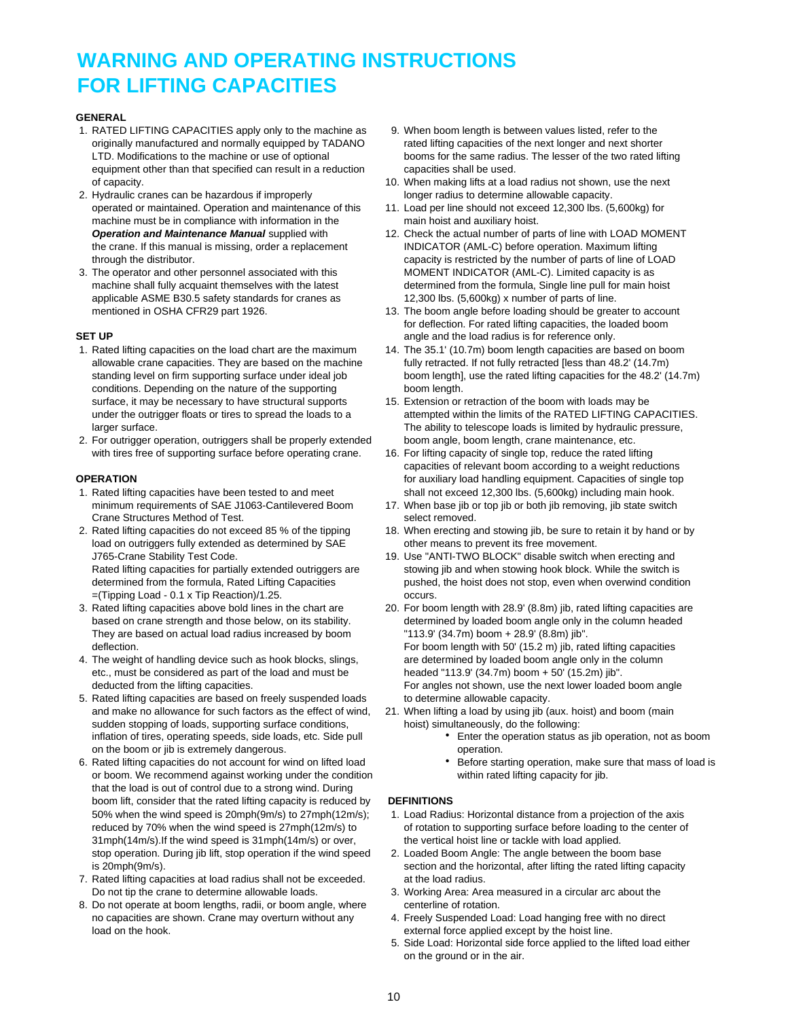# **WARNING AND OPERATING INSTRUCTIONS FOR LIFTING CAPACITIES**

### **GENERAL**

- 1. RATED LIFTING CAPACITIES apply only to the machine as 9. When boom length is between values listed, refer to the originally manufactured and normally equipped by TADANO rated lifting capacities of the next longer and next shorter equipment other than that specified can result in a reduction capacities shall be used.
- 2. Hydraulic cranes can be hazardous if improperly longer radius to determine allowable capacity. machine must be in compliance with information in the main hoist and auxiliary hoist.
- applicable ASME B30.5 safety standards for cranes as 12,300 lbs. (5,600kg) x number of parts of line.

- conditions. Depending on the nature of the supporting boom length. surface, it may be necessary to have structural supports 15. Extension or retraction of the boom with loads may be
- 2. For outrigger operation, outriggers shall be properly extended boom angle, boom length, crane maintenance, etc. with tires free of supporting surface before operating crane. 16. For lifting capacity of single top, reduce the rated lifting

- Crane Structures Method of Test. Select removed.
- load on outriggers fully extended as determined by SAE other means to prevent its free movement.
- =(Tipping Load 0.1 x Tip Reaction)/1.25. occurs. They are based on actual load radius increased by boom "113.9' (34.7m) boom + 28.9' (8.8m) jib".
- 4. The weight of handling device such as hook blocks, slings, are determined by loaded boom angle only in the column etc., must be considered as part of the load and must be headed "113.9' (34.7m) boom + 50' (15.2m) jib".
- 5. Rated lifting capacities are based on freely suspended loads to determine allowable capacity. sudden stopping of loads, supporting surface conditions, hoist) simultaneously, do the following: inflation of tires, operating speeds, side loads, etc. Side pull **Enter the operation status as jib operation**, not as boom on the boom or jib is extremely dangerous. The state of the boom of peration.
- or boom. We recommend against working under the condition within rated lifting capacity for jib. that the load is out of control due to a strong wind. During boom lift, consider that the rated lifting capacity is reduced by **DEFINITIONS** 31mph(14m/s).If the wind speed is 31mph(14m/s) or over, the vertical hoist line or tackle with load applied. stop operation. During jib lift, stop operation if the wind speed 2. Loaded Boom Angle: The angle between the boom base
- 7. Rated lifting capacities at load radius shall not be exceeded. at the load radius. Do not tip the crane to determine allowable loads. 3. Working Area: Area measured in a circular arc about the
- 8. Do not operate at boom lengths, radii, or boom angle, where centerline of rotation. no capacities are shown. Crane may overturn without any 4. Freely Suspended Load: Load hanging free with no direct load on the hook. external force applied except by the hoist line.
- LTD. Modifications to the machine or use of optional booms for the same radius. The lesser of the two rated lifting
- of capacity. 10. When making lifts at a load radius not shown, use the next
- operated or maintained. Operation and maintenance of this 11. Load per line should not exceed 12,300 lbs. (5,600kg) for
- *Operation and Maintenance Manual* supplied with 12. Check the actual number of parts of line with LOAD MOMENT the crane. If this manual is missing, order a replacement INDICATOR (AML-C) before operation. Maximum lifting through the distributor. capacity is restricted by the number of parts of line of LOAD 3. The operator and other personnel associated with this MOMENT INDICATOR (AML-C). Limited capacity is as machine shall fully acquaint themselves with the latest determined from the formula, Single line pull for main hoist
- mentioned in OSHA CFR29 part 1926. 13. The boom angle before loading should be greater to account for deflection. For rated lifting capacities, the loaded boom **SET UP SET UP EXECUTE: SET UP A** angle and the load radius is for reference only.
- 1. Rated lifting capacities on the load chart are the maximum 14. The 35.1' (10.7m) boom length capacities are based on boom allowable crane capacities. They are based on the machine fully retracted. If not fully retracted [less than 48.2' (14.7m) standing level on firm supporting surface under ideal job boom length], use the rated lifting capacities for the 48.2' (14.7m)
	- under the outrigger floats or tires to spread the loads to a attempted within the limits of the RATED LIFTING CAPACITIES. larger surface. The ability to telescope loads is limited by hydraulic pressure,
- capacities of relevant boom according to a weight reductions **OPERATION** *OPERATION OPERATION OPERATION OPERATION OPERATION OPERATION OPERATION OPERATION OPERATION OPERATION OPERATION OPERATION OPERATION OPERATION OPERATION* 1. Rated lifting capacities have been tested to and meet shall not exceed 12,300 lbs. (5,600kg) including main hook.
	- minimum requirements of SAE J1063-Cantilevered Boom 17. When base jib or top jib or both jib removing, jib state switch
- 2. Rated lifting capacities do not exceed 85 % of the tipping 18. When erecting and stowing jib, be sure to retain it by hand or by
	- J765-Crane Stability Test Code. 19. Use "ANTI-TWO BLOCK" disable switch when erecting and Rated lifting capacities for partially extended outriggers are stowing jib and when stowing hook block. While the switch is determined from the formula, Rated Lifting Capacities pushed, the hoist does not stop, even when overwind condition
- 3. Rated lifting capacities above bold lines in the chart are 20. For boom length with 28.9' (8.8m) jib, rated lifting capacities are based on crane strength and those below, on its stability. determined by loaded boom angle only in the column headed deflection. **For boom length with 50' (15.2 m)** jib, rated lifting capacities deducted from the lifting capacities. The state of the next lower loaded boom angle shown, use the next lower loaded boom angle
	- and make no allowance for such factors as the effect of wind, 21. When lifting a load by using jib (aux. hoist) and boom (main
		-
- 6. Rated lifting capacities do not account for wind on lifted load **Before starting operation**, make sure that mass of load is

- 50% when the wind speed is 20mph(9m/s) to 27mph(12m/s); 1. Load Radius: Horizontal distance from a projection of the axis reduced by 70% when the wind speed is 27mph(12m/s) to of rotation to supporting surface before loading to the center of
- is 20mph(9m/s). section and the horizontal, after lifting the rated lifting capacity
	-
	-
	- 5. Side Load: Horizontal side force applied to the lifted load either on the ground or in the air.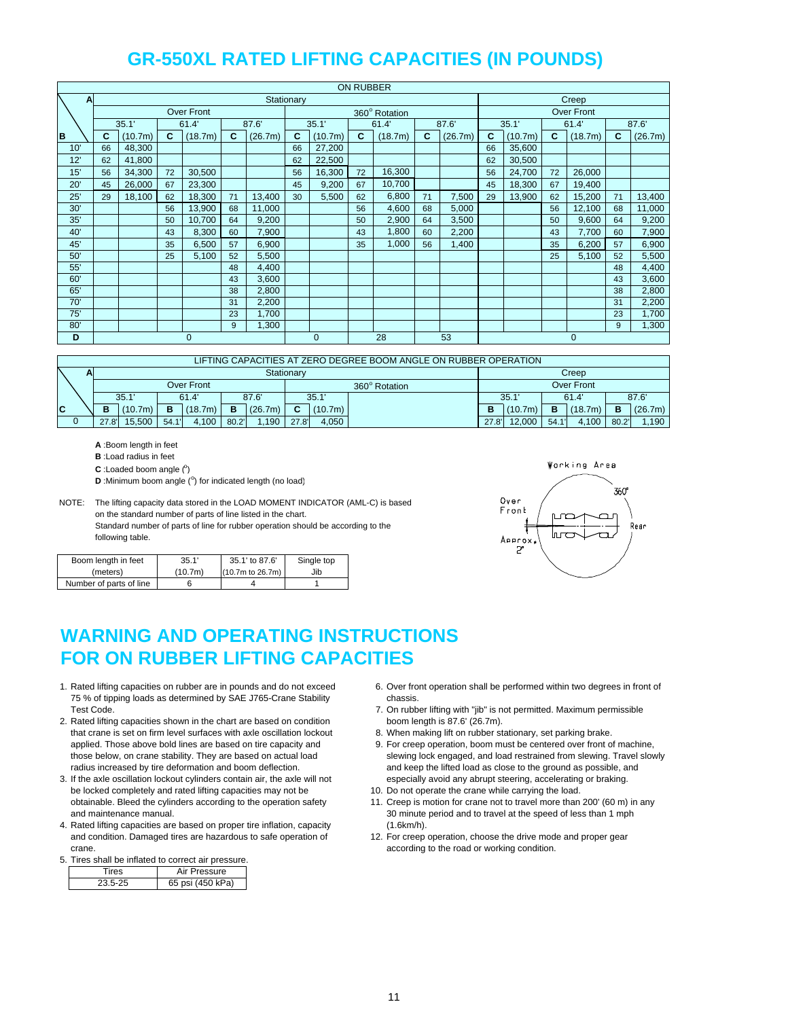|              | <b>ON RUBBER</b> |         |    |            |    |         |            |                |    |               |    |         |    |         |    |                   |    |         |
|--------------|------------------|---------|----|------------|----|---------|------------|----------------|----|---------------|----|---------|----|---------|----|-------------------|----|---------|
| $\mathbf{A}$ |                  |         |    |            |    |         | Stationary |                |    |               |    |         |    |         |    | Creep             |    |         |
|              |                  |         |    | Over Front |    |         |            |                |    | 360° Rotation |    |         |    |         |    | <b>Over Front</b> |    |         |
|              |                  | 35.1'   |    | 61.4       |    | 87.6    |            | 35.1'          |    | 61.4          |    | 87.6    |    | 35.1'   |    | 61.4              |    | 87.6    |
| B            | c                | (10.7m) | C  | (18.7m)    | C  | (26.7m) | C          | (10.7m)        | C. | (18.7m)       | C. | (26.7m) | C  | (10.7m) | C  | (18.7m)           | C  | (26.7m) |
| 10'          | 66               | 48,300  |    |            |    |         | 66         | 27,200         |    |               |    |         | 66 | 35,600  |    |                   |    |         |
| 12'          | 62               | 41,800  |    |            |    |         | 62         | 22,500         |    |               |    |         | 62 | 30,500  |    |                   |    |         |
| 15'          | 56               | 34,300  | 72 | 30,500     |    |         | 56         | 16,300         | 72 | 16,300        |    |         | 56 | 24,700  | 72 | 26,000            |    |         |
| 20'          | 45               | 26,000  | 67 | 23,300     |    |         | 45         | 9,200          | 67 | 10,700        |    |         | 45 | 18,300  | 67 | 19,400            |    |         |
| 25'          | 29               | 18,100  | 62 | 18,300     | 71 | 13,400  | 30         | 5,500          | 62 | 6,800         | 71 | 7,500   | 29 | 13,900  | 62 | 15,200            | 71 | 13,400  |
| 30'          |                  |         | 56 | 13,900     | 68 | 11,000  |            |                | 56 | 4,600         | 68 | 5,000   |    |         | 56 | 12,100            | 68 | 11,000  |
| 35'          |                  |         | 50 | 10,700     | 64 | 9,200   |            |                | 50 | 2,900         | 64 | 3,500   |    |         | 50 | 9,600             | 64 | 9,200   |
| 40'          |                  |         | 43 | 8,300      | 60 | 7,900   |            |                | 43 | 1,800         | 60 | 2,200   |    |         | 43 | 7,700             | 60 | 7,900   |
| 45'          |                  |         | 35 | 6,500      | 57 | 6,900   |            |                | 35 | 1,000         | 56 | 1,400   |    |         | 35 | 6,200             | 57 | 6,900   |
| 50'          |                  |         | 25 | 5,100      | 52 | 5,500   |            |                |    |               |    |         |    |         | 25 | 5,100             | 52 | 5,500   |
| 55'          |                  |         |    |            | 48 | 4,400   |            |                |    |               |    |         |    |         |    |                   | 48 | 4,400   |
| 60'          |                  |         |    |            | 43 | 3,600   |            |                |    |               |    |         |    |         |    |                   | 43 | 3,600   |
| 65'          |                  |         |    |            | 38 | 2,800   |            |                |    |               |    |         |    |         |    |                   | 38 | 2,800   |
| 70'          |                  |         |    |            | 31 | 2,200   |            |                |    |               |    |         |    |         |    |                   | 31 | 2,200   |
| 75'          |                  |         |    |            | 23 | 1,700   |            |                |    |               |    |         |    |         |    |                   | 23 | 1,700   |
| 80'          |                  |         |    |            | 9  | 1,300   |            |                |    |               |    |         |    |         |    |                   | 9  | 1,300   |
| D            |                  | 0       |    |            |    |         |            | $\overline{0}$ |    | 28            |    | 53      |    |         |    | 0                 |    |         |

|    | LIFTING CAPACITIES AT ZERO DEGREE BOOM ANGLE ON RUBBER OPERATION |       |                             |      |         |       |         |            |         |  |       |         |    |            |       |         |
|----|------------------------------------------------------------------|-------|-----------------------------|------|---------|-------|---------|------------|---------|--|-------|---------|----|------------|-------|---------|
|    |                                                                  |       |                             |      |         |       |         | Stationary |         |  |       |         |    | Creep      |       |         |
|    |                                                                  |       | Over Front<br>360° Rotation |      |         |       |         |            |         |  |       |         |    | Over Front |       |         |
|    |                                                                  |       | 35.1'<br>87.6'<br>61.4      |      |         |       |         |            | 35.1'   |  |       | 35.1    |    | 61.4       |       | 87.6    |
| C. |                                                                  | в     | (10.7m)                     | в    | (18.7m) | B     | (26.7m) | c          | (10.7m) |  | D     | (10.7m) | в  | (18.7m)    | в     | (26.7m) |
|    |                                                                  | 27.8' | 15.500                      | 54.1 | 4.100   | 80.2' | 1.190   | 27.8'      | 4.050   |  | 27.8' | 12.000  | 54 | 4.100      | 80.2' | 1.190   |

**A** :Boom length in feet

**B** :Load radius in feet

 $C$ : Loaded boom angle  $(°)$ 

**D**: Minimum boom angle (°) for indicated length (no load)

NOTE: The lifting capacity data stored in the LOAD MOMENT INDICATOR (AML-C) is based on the standard number of parts of line listed in the chart. Standard number of parts of line for rubber operation should be according to the following table.

| Boom length in feet     | 35.1'   | 35.1' to 87.6'      | Single top |
|-------------------------|---------|---------------------|------------|
| (meters)                | (10.7m) | $(10.7m)$ to 26.7m) | Jib        |
| Number of parts of line |         |                     |            |



## **WARNING AND OPERATING INSTRUCTIONS FOR ON RUBBER LIFTING CAPACITIES**

- 1. Rated lifting capacities on rubber are in pounds and do not exceed 6. Over front operation shall be performed within two degrees in front of 75 % of tipping loads as determined by SAE J765-Crane Stability chassis. Test Code. 7. On rubber lifting with "jib" is not permitted. Maximum permissible
- 2. Rated lifting capacities shown in the chart are based on condition boom length is 87.6' (26.7m). that crane is set on firm level surfaces with axle oscillation lockout 8. When making lift on rubber stationary, set parking brake. applied. Those above bold lines are based on tire capacity and 9. For creep operation, boom must be centered over front of machine,
- 3. If the axle oscillation lockout cylinders contain air, the axle will not especially avoid any abrupt steering, accelerating or braking. be locked completely and rated lifting capacities may not be 10. Do not operate the crane while carrying the load. obtainable. Bleed the cylinders according to the operation safety 11. Creep is motion for crane not to travel more than 200' (60 m) in any
- 4. Rated lifting capacities are based on proper tire inflation, capacity (1.6km/h). and condition. Damaged tires are hazardous to safe operation of 12. For creep operation, choose the drive mode and proper gear crane. **according to the road or working condition. according to the road or working condition.**

### 5. Tires shall be inflated to correct air pressure.

| ٩S | <i>P</i> ressure |
|----|------------------|
|    | 65 psi (450 kPa) |

- 
- 
- 
- those below, on crane stability. They are based on actual load slewing lock engaged, and load restrained from slewing. Travel slowly radius increased by tire deformation and boom deflection. The same of the lifted load as close to the ground as possible, and
	-
- and maintenance manual. 30 minute period and to travel at the speed of less than 1 mph
	-